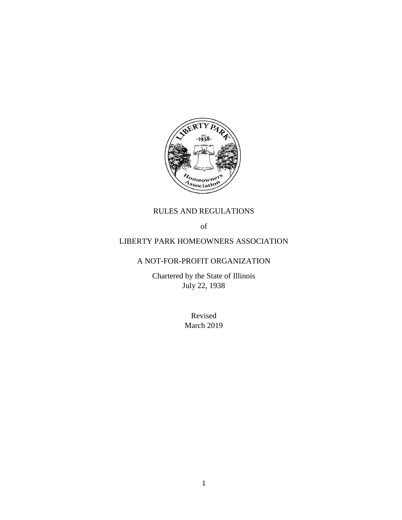

# RULES AND REGULATIONS

of

## LIBERTY PARK HOMEOWNERS ASSOCIATION

## A NOT-FOR-PROFIT ORGANIZATION

Chartered by the State of Illinois July 22, 1938

> Revised March 2019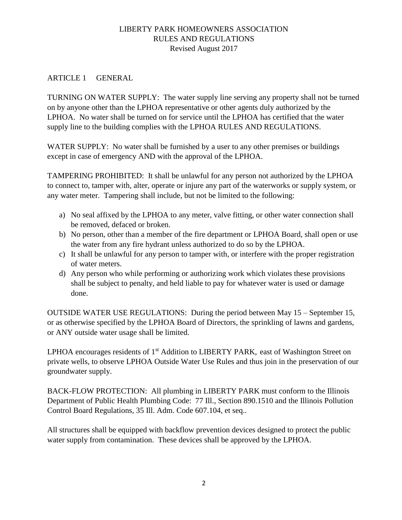## LIBERTY PARK HOMEOWNERS ASSOCIATION RULES AND REGULATIONS Revised August 2017

### ARTICLE 1 GENERAL

TURNING ON WATER SUPPLY: The water supply line serving any property shall not be turned on by anyone other than the LPHOA representative or other agents duly authorized by the LPHOA. No water shall be turned on for service until the LPHOA has certified that the water supply line to the building complies with the LPHOA RULES AND REGULATIONS.

WATER SUPPLY: No water shall be furnished by a user to any other premises or buildings except in case of emergency AND with the approval of the LPHOA.

TAMPERING PROHIBITED: It shall be unlawful for any person not authorized by the LPHOA to connect to, tamper with, alter, operate or injure any part of the waterworks or supply system, or any water meter. Tampering shall include, but not be limited to the following:

- a) No seal affixed by the LPHOA to any meter, valve fitting, or other water connection shall be removed, defaced or broken.
- b) No person, other than a member of the fire department or LPHOA Board, shall open or use the water from any fire hydrant unless authorized to do so by the LPHOA.
- c) It shall be unlawful for any person to tamper with, or interfere with the proper registration of water meters.
- d) Any person who while performing or authorizing work which violates these provisions shall be subject to penalty, and held liable to pay for whatever water is used or damage done.

OUTSIDE WATER USE REGULATIONS: During the period between May 15 – September 15, or as otherwise specified by the LPHOA Board of Directors, the sprinkling of lawns and gardens, or ANY outside water usage shall be limited.

LPHOA encourages residents of 1<sup>st</sup> Addition to LIBERTY PARK, east of Washington Street on private wells, to observe LPHOA Outside Water Use Rules and thus join in the preservation of our groundwater supply.

BACK-FLOW PROTECTION: All plumbing in LIBERTY PARK must conform to the Illinois Department of Public Health Plumbing Code: 77 Ill., Section 890.1510 and the Illinois Pollution Control Board Regulations, 35 Ill. Adm. Code 607.104, et seq..

All structures shall be equipped with backflow prevention devices designed to protect the public water supply from contamination. These devices shall be approved by the LPHOA.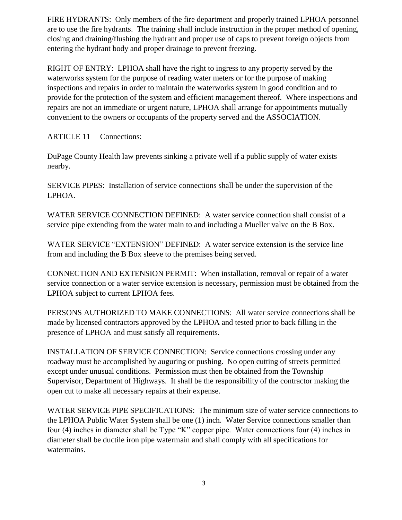FIRE HYDRANTS: Only members of the fire department and properly trained LPHOA personnel are to use the fire hydrants. The training shall include instruction in the proper method of opening, closing and draining/flushing the hydrant and proper use of caps to prevent foreign objects from entering the hydrant body and proper drainage to prevent freezing.

RIGHT OF ENTRY: LPHOA shall have the right to ingress to any property served by the waterworks system for the purpose of reading water meters or for the purpose of making inspections and repairs in order to maintain the waterworks system in good condition and to provide for the protection of the system and efficient management thereof. Where inspections and repairs are not an immediate or urgent nature, LPHOA shall arrange for appointments mutually convenient to the owners or occupants of the property served and the ASSOCIATION.

ARTICLE 11 Connections:

DuPage County Health law prevents sinking a private well if a public supply of water exists nearby.

SERVICE PIPES: Installation of service connections shall be under the supervision of the LPHOA.

WATER SERVICE CONNECTION DEFINED: A water service connection shall consist of a service pipe extending from the water main to and including a Mueller valve on the B Box.

WATER SERVICE "EXTENSION" DEFINED: A water service extension is the service line from and including the B Box sleeve to the premises being served.

CONNECTION AND EXTENSION PERMIT: When installation, removal or repair of a water service connection or a water service extension is necessary, permission must be obtained from the LPHOA subject to current LPHOA fees.

PERSONS AUTHORIZED TO MAKE CONNECTIONS: All water service connections shall be made by licensed contractors approved by the LPHOA and tested prior to back filling in the presence of LPHOA and must satisfy all requirements.

INSTALLATION OF SERVICE CONNECTION: Service connections crossing under any roadway must be accomplished by auguring or pushing. No open cutting of streets permitted except under unusual conditions. Permission must then be obtained from the Township Supervisor, Department of Highways. It shall be the responsibility of the contractor making the open cut to make all necessary repairs at their expense.

WATER SERVICE PIPE SPECIFICATIONS: The minimum size of water service connections to the LPHOA Public Water System shall be one (1) inch. Water Service connections smaller than four (4) inches in diameter shall be Type "K" copper pipe. Water connections four (4) inches in diameter shall be ductile iron pipe watermain and shall comply with all specifications for watermains.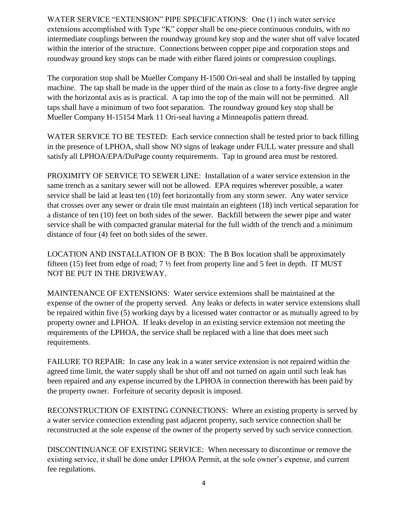WATER SERVICE "EXTENSION" PIPE SPECIFICATIONS: One (1) inch water service extensions accomplished with Type "K" copper shall be one-piece continuous conduits, with no intermediate couplings between the roundway ground key stop and the water shut off valve located within the interior of the structure. Connections between copper pipe and corporation stops and roundway ground key stops can be made with either flared joints or compression couplings.

The corporation stop shall be Mueller Company H-1500 Ori-seal and shall be installed by tapping machine. The tap shall be made in the upper third of the main as close to a forty-five degree angle with the horizontal axis as is practical. A tap into the top of the main will not be permitted. All taps shall have a minimum of two foot separation. The roundway ground key stop shall be Mueller Company H-15154 Mark 11 Ori-seal having a Minneapolis pattern thread.

WATER SERVICE TO BE TESTED: Each service connection shall be tested prior to back filling in the presence of LPHOA, shall show NO signs of leakage under FULL water pressure and shall satisfy all LPHOA/EPA/DuPage county requirements. Tap in ground area must be restored.

PROXIMITY OF SERVICE TO SEWER LINE: Installation of a water service extension in the same trench as a sanitary sewer will not be allowed. EPA requires wherever possible, a water service shall be laid at least ten (10) feet horizontally from any storm sewer. Any water service that crosses over any sewer or drain tile must maintain an eighteen (18) inch vertical separation for a distance of ten (10) feet on both sides of the sewer. Backfill between the sewer pipe and water service shall be with compacted granular material for the full width of the trench and a minimum distance of four (4) feet on both sides of the sewer.

LOCATION AND INSTALLATION OF B BOX: The B Box location shall be approximately fifteen (15) feet from edge of road;  $7\frac{1}{2}$  feet from property line and 5 feet in depth. IT MUST NOT BE PUT IN THE DRIVEWAY.

MAINTENANCE OF EXTENSIONS: Water service extensions shall be maintained at the expense of the owner of the property served. Any leaks or defects in water service extensions shall be repaired within five (5) working days by a licensed water contractor or as mutually agreed to by property owner and LPHOA. If leaks develop in an existing service extension not meeting the requirements of the LPHOA, the service shall be replaced with a line that does meet such requirements.

FAILURE TO REPAIR: In case any leak in a water service extension is not repaired within the agreed time limit, the water supply shall be shut off and not turned on again until such leak has been repaired and any expense incurred by the LPHOA in connection therewith has been paid by the property owner. Forfeiture of security deposit is imposed.

RECONSTRUCTION OF EXISTING CONNECTIONS: Where an existing property is served by a water service connection extending past adjacent property, such service connection shall be reconstructed at the sole expense of the owner of the property served by such service connection.

DISCONTINUANCE OF EXISTING SERVICE: When necessary to discontinue or remove the existing service, it shall be done under LPHOA Permit, at the sole owner's expense, and current fee regulations.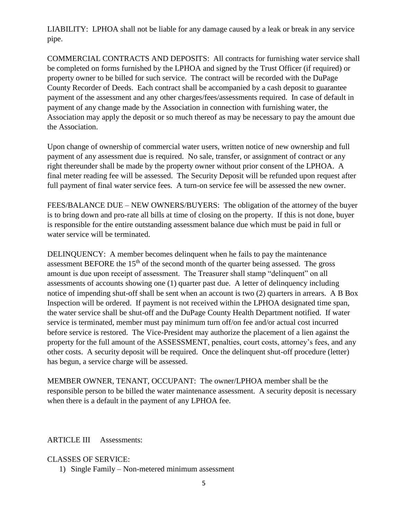LIABILITY: LPHOA shall not be liable for any damage caused by a leak or break in any service pipe.

COMMERCIAL CONTRACTS AND DEPOSITS: All contracts for furnishing water service shall be completed on forms furnished by the LPHOA and signed by the Trust Officer (if required) or property owner to be billed for such service. The contract will be recorded with the DuPage County Recorder of Deeds. Each contract shall be accompanied by a cash deposit to guarantee payment of the assessment and any other charges/fees/assessments required. In case of default in payment of any change made by the Association in connection with furnishing water, the Association may apply the deposit or so much thereof as may be necessary to pay the amount due the Association.

Upon change of ownership of commercial water users, written notice of new ownership and full payment of any assessment due is required. No sale, transfer, or assignment of contract or any right thereunder shall be made by the property owner without prior consent of the LPHOA. A final meter reading fee will be assessed. The Security Deposit will be refunded upon request after full payment of final water service fees. A turn-on service fee will be assessed the new owner.

FEES/BALANCE DUE – NEW OWNERS/BUYERS: The obligation of the attorney of the buyer is to bring down and pro-rate all bills at time of closing on the property. If this is not done, buyer is responsible for the entire outstanding assessment balance due which must be paid in full or water service will be terminated.

DELINQUENCY: A member becomes delinquent when he fails to pay the maintenance assessment BEFORE the  $15<sup>th</sup>$  of the second month of the quarter being assessed. The gross amount is due upon receipt of assessment. The Treasurer shall stamp "delinquent" on all assessments of accounts showing one (1) quarter past due. A letter of delinquency including notice of impending shut-off shall be sent when an account is two (2) quarters in arrears. A B Box Inspection will be ordered. If payment is not received within the LPHOA designated time span, the water service shall be shut-off and the DuPage County Health Department notified. If water service is terminated, member must pay minimum turn off/on fee and/or actual cost incurred before service is restored. The Vice-President may authorize the placement of a lien against the property for the full amount of the ASSESSMENT, penalties, court costs, attorney's fees, and any other costs. A security deposit will be required. Once the delinquent shut-off procedure (letter) has begun, a service charge will be assessed.

MEMBER OWNER, TENANT, OCCUPANT: The owner/LPHOA member shall be the responsible person to be billed the water maintenance assessment. A security deposit is necessary when there is a default in the payment of any LPHOA fee.

ARTICLE III Assessments:

CLASSES OF SERVICE:

1) Single Family – Non-metered minimum assessment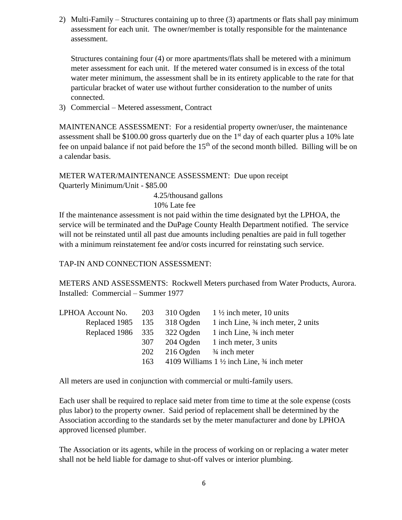2) Multi-Family – Structures containing up to three (3) apartments or flats shall pay minimum assessment for each unit. The owner/member is totally responsible for the maintenance assessment.

Structures containing four (4) or more apartments/flats shall be metered with a minimum meter assessment for each unit. If the metered water consumed is in excess of the total water meter minimum, the assessment shall be in its entirety applicable to the rate for that particular bracket of water use without further consideration to the number of units connected.

3) Commercial – Metered assessment, Contract

MAINTENANCE ASSESSMENT: For a residential property owner/user, the maintenance assessment shall be \$100.00 gross quarterly due on the 1<sup>st</sup> day of each quarter plus a 10% late fee on unpaid balance if not paid before the  $15<sup>th</sup>$  of the second month billed. Billing will be on a calendar basis.

METER WATER/MAINTENANCE ASSESSMENT: Due upon receipt Quarterly Minimum/Unit - \$85.00

4.25/thousand gallons

10% Late fee

If the maintenance assessment is not paid within the time designated byt the LPHOA, the service will be terminated and the DuPage County Health Department notified. The service will not be reinstated until all past due amounts including penalties are paid in full together with a minimum reinstatement fee and/or costs incurred for reinstating such service.

TAP-IN AND CONNECTION ASSESSMENT:

METERS AND ASSESSMENTS: Rockwell Meters purchased from Water Products, Aurora. Installed: Commercial – Summer 1977

| LPHOA Account No. $203$       |     |           | 310 Ogden $1\frac{1}{2}$ inch meter, 10 units                    |
|-------------------------------|-----|-----------|------------------------------------------------------------------|
| Replaced 1985 135             |     | 318 Ogden | 1 inch Line, 3/4 inch meter, 2 units                             |
| Replaced 1986 $335$ 322 Ogden |     |           | 1 inch Line, 3/4 inch meter                                      |
|                               | 307 |           | 204 Ogden 1 inch meter, 3 units                                  |
|                               | 202 |           | $216$ Ogden $\frac{3}{4}$ inch meter                             |
|                               | 163 |           | 4109 Williams $1\frac{1}{2}$ inch Line, $\frac{3}{4}$ inch meter |
|                               |     |           |                                                                  |

All meters are used in conjunction with commercial or multi-family users.

Each user shall be required to replace said meter from time to time at the sole expense (costs plus labor) to the property owner. Said period of replacement shall be determined by the Association according to the standards set by the meter manufacturer and done by LPHOA approved licensed plumber.

The Association or its agents, while in the process of working on or replacing a water meter shall not be held liable for damage to shut-off valves or interior plumbing.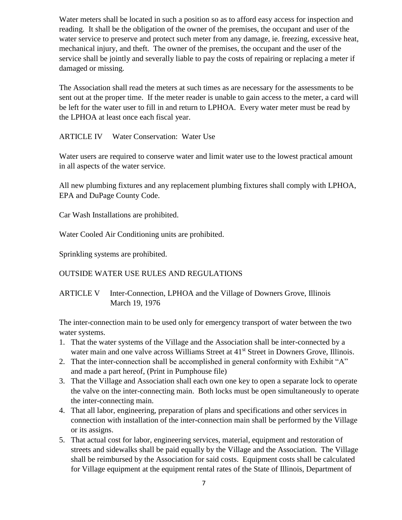Water meters shall be located in such a position so as to afford easy access for inspection and reading. It shall be the obligation of the owner of the premises, the occupant and user of the water service to preserve and protect such meter from any damage, ie. freezing, excessive heat, mechanical injury, and theft. The owner of the premises, the occupant and the user of the service shall be jointly and severally liable to pay the costs of repairing or replacing a meter if damaged or missing.

The Association shall read the meters at such times as are necessary for the assessments to be sent out at the proper time. If the meter reader is unable to gain access to the meter, a card will be left for the water user to fill in and return to LPHOA. Every water meter must be read by the LPHOA at least once each fiscal year.

#### ARTICLE IV Water Conservation: Water Use

Water users are required to conserve water and limit water use to the lowest practical amount in all aspects of the water service.

All new plumbing fixtures and any replacement plumbing fixtures shall comply with LPHOA, EPA and DuPage County Code.

Car Wash Installations are prohibited.

Water Cooled Air Conditioning units are prohibited.

Sprinkling systems are prohibited.

OUTSIDE WATER USE RULES AND REGULATIONS

ARTICLE V Inter-Connection, LPHOA and the Village of Downers Grove, Illinois March 19, 1976

The inter-connection main to be used only for emergency transport of water between the two water systems.

- 1. That the water systems of the Village and the Association shall be inter-connected by a water main and one valve across Williams Street at 41<sup>st</sup> Street in Downers Grove, Illinois.
- 2. That the inter-connection shall be accomplished in general conformity with Exhibit "A" and made a part hereof, (Print in Pumphouse file)
- 3. That the Village and Association shall each own one key to open a separate lock to operate the valve on the inter-connecting main. Both locks must be open simultaneously to operate the inter-connecting main.
- 4. That all labor, engineering, preparation of plans and specifications and other services in connection with installation of the inter-connection main shall be performed by the Village or its assigns.
- 5. That actual cost for labor, engineering services, material, equipment and restoration of streets and sidewalks shall be paid equally by the Village and the Association. The Village shall be reimbursed by the Association for said costs. Equipment costs shall be calculated for Village equipment at the equipment rental rates of the State of Illinois, Department of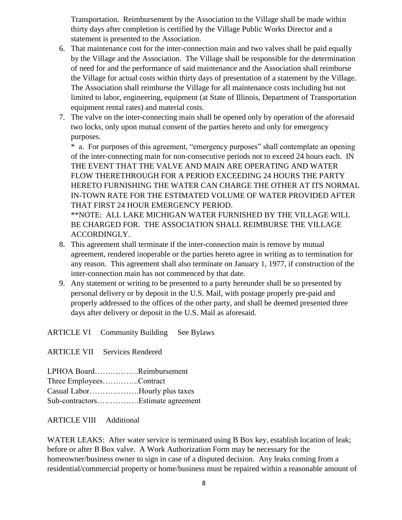Transportation. Reimbursement by the Association to the Village shall be made within thirty days after completion is certified by the Village Public Works Director and a statement is presented to the Association.

- 6. That maintenance cost for the inter-connection main and two valves shall be paid equally by the Village and the Association. The Village shall be responsible for the determination of need for and the performance of said maintenance and the Association shall reimburse the Village for actual costs within thirty days of presentation of a statement by the Village. The Association shall reimburse the Village for all maintenance costs including but not limited to labor, engineering, equipment (at State of Illinois, Department of Transportation equipment rental rates) and material costs.
- 7. The valve on the inter-connecting main shall be opened only by operation of the aforesaid two locks, only upon mutual consent of the parties hereto and only for emergency purposes.

\* a. For purposes of this agreement, "emergency purposes" shall contemplate an opening of the inter-connecting main for non-consecutive periods not to exceed 24 hours each. IN THE EVENT THAT THE VALVE AND MAIN ARE OPERATING AND WATER FLOW THERETHROUGH FOR A PERIOD EXCEEDING 24 HOURS THE PARTY HERETO FURNISHING THE WATER CAN CHARGE THE OTHER AT ITS NORMAL IN-TOWN RATE FOR THE ESTIMATED VOLUME OF WATER PROVIDED AFTER THAT FIRST 24 HOUR EMERGENCY PERIOD.

\*\*NOTE: ALL LAKE MICHIGAN WATER FURNISHED BY THE VILLAGE WILL BE CHARGED FOR. THE ASSOCIATION SHALL REIMBURSE THE VILLAGE ACCORDINGLY.

- 8. This agreement shall terminate if the inter-connection main is remove by mutual agreement, rendered inoperable or the parties hereto agree in writing as to termination for any reason. This agreement shall also terminate on January 1, 1977, if construction of the inter-connection main has not commenced by that date.
- 9. Any statement or writing to be presented to a party hereunder shall be so presented by personal delivery or by deposit in the U.S. Mail, with postage properly pre-paid and properly addressed to the offices of the other party, and shall be deemed presented three days after delivery or deposit in the U.S. Mail as aforesaid.

ARTICLE VI Community Building See Bylaws

ARTICLE VII Services Rendered

LPHOA Board……………..Reimbursement Three Employees…………..Contract Casual Labor……………….Hourly plus taxes Sub-contractors…………….Estimate agreement

ARTICLE VIII Additional

WATER LEAKS: After water service is terminated using B Box key, establish location of leak; before or after B Box valve. A Work Authorization Form may be necessary for the homeowner/business owner to sign in case of a disputed decision. Any leaks coming from a residential/commercial property or home/business must be repaired within a reasonable amount of